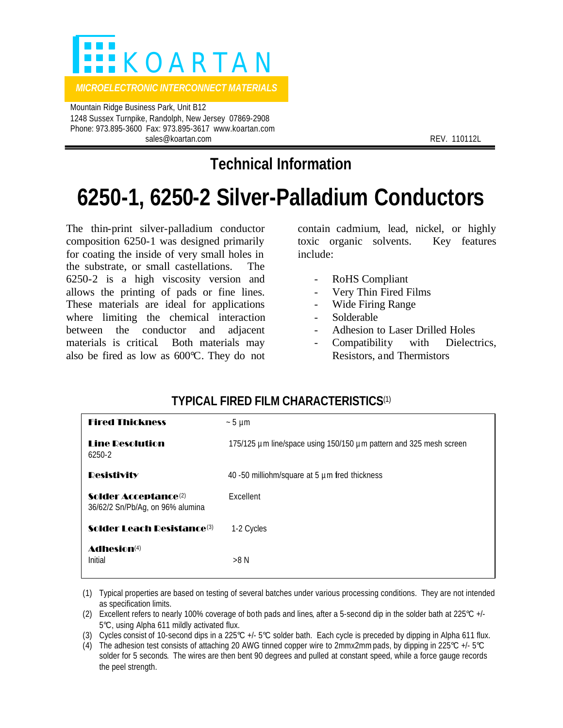

 Mountain Ridge Business Park, Unit B12 1248 Sussex Turnpike, Randolph, New Jersey 07869-2908 Phone: 973.895-3600 Fax: 973.895-3617 www.koartan.com sales@koartan.com **REV. 110112L** 

## **Technical Information**

# **6250-1, 6250-2 Silver-Palladium Conductors**

The thin-print silver-palladium conductor composition 6250-1 was designed primarily for coating the inside of very small holes in the substrate, or small castellations. The 6250-2 is a high viscosity version and allows the printing of pads or fine lines. These materials are ideal for applications where limiting the chemical interaction between the conductor and adjacent materials is critical. Both materials may also be fired as low as 600°C. They do not contain cadmium, lead, nickel, or highly toxic organic solvents. Key features include:

- RoHS Compliant
- Very Thin Fired Films
- Wide Firing Range
- **Solderable**
- Adhesion to Laser Drilled Holes
- Compatibility with Dielectrics, Resistors, and Thermistors

## **TYPICAL FIRED FILM CHARACTERISTICS**(1)

| <b>Fired Thickness</b>                                               | $\sim$ 5 µm                                                        |
|----------------------------------------------------------------------|--------------------------------------------------------------------|
| <b>Line Desolution</b><br>6250-2                                     | 175/125 µm line/space using 150/150 µm pattern and 325 mesh screen |
| <b>Resistivity</b>                                                   | 40 -50 milliohm/square at 5 µm fred thickness                      |
| Solder Acceptance <sup>(2)</sup><br>36/62/2 Sn/Pb/Ag, on 96% alumina | Excellent                                                          |
| <b>Solder Leach Resistance</b> (3)                                   | 1-2 Cycles                                                         |
| Adhesion <sup>(4)</sup><br>Initial                                   | >8 N                                                               |

- (1) Typical properties are based on testing of several batches under various processing conditions. They are not intended as specification limits.
- (2) Excellent refers to nearly 100% coverage of both pads and lines, after a 5-second dip in the solder bath at 225°C +/- 5°C, using Alpha 611 mildly activated flux.
- (3) Cycles consist of 10-second dips in a 225°C  $+/-$  5°C solder bath. Each cycle is preceded by dipping in Alpha 611 flux.
- (4) The adhesion test consists of attaching 20 AWG tinned copper wire to 2mmx2mm pads, by dipping in 225 $^{\circ}$ C +/- 5 $^{\circ}$ C solder for 5 seconds. The wires are then bent 90 degrees and pulled at constant speed, while a force gauge records the peel strength.